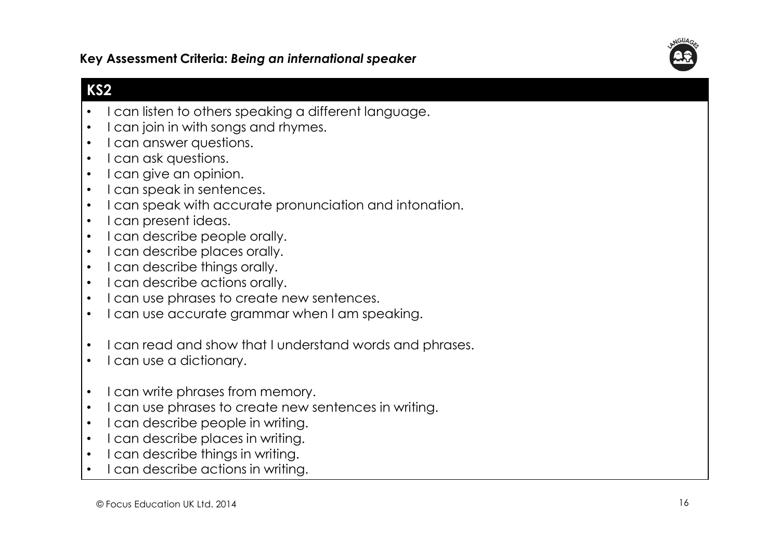Key Assessment Criteria: Being an international speaker

## KS2

- •I can listen to others speaking a different language.
- •I can join in with songs and rhymes.
- •I can answer questions.
- •I can ask questions.
- •I can give an opinion.
- •I can speak in sentences.
- •I can speak with accurate pronunciation and intonation.
- •I can present ideas.
- •I can describe people orally.
- •I can describe places orally.
- •I can describe things orally.
- •I can describe actions orally.
- •I can use phrases to create new sentences.
- •I can use accurate grammar when I am speaking.
- •I can read and show that I understand words and phrases.
- •I can use a dictionary.
- •I can write phrases from memory.
- •I can use phrases to create new sentences in writing.
- •I can describe people in writing.
- •I can describe places in writing.
- •I can describe things in writing.
- •I can describe actions in writing.